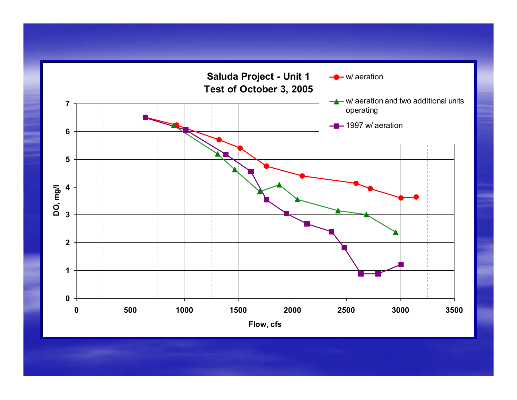

**Flow, cfs**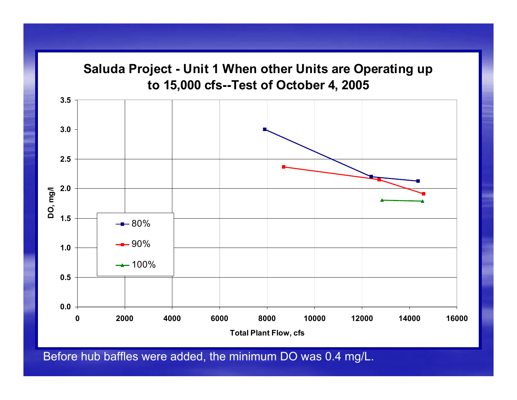## **Saluda Project - Unit 1 When other Units are Operating up to 15,000 cfs--Test of October 4, 2005**



Before hub baffles were added, the minimum DO was 0.4 mg/L.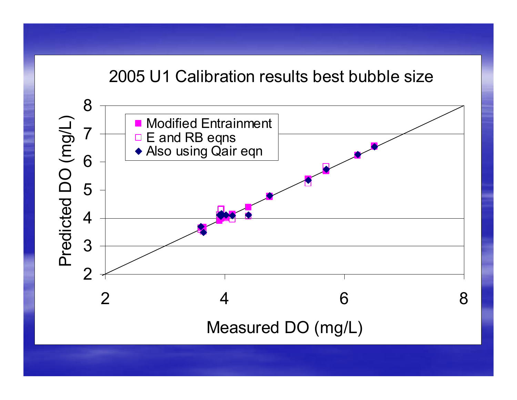## 2005 U1 Calibration results best bubble size

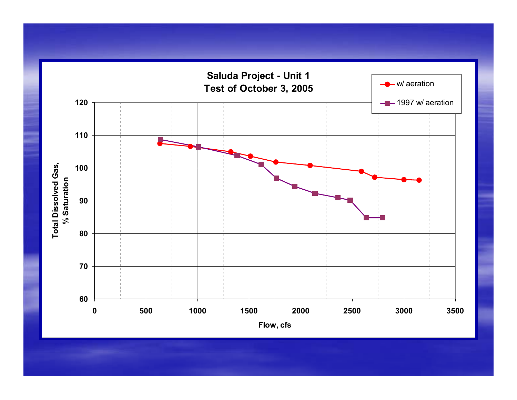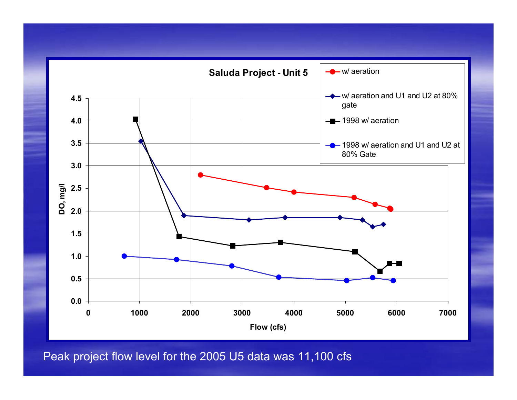

Peak project flow level for the 2005 U5 data was 11,100 cfs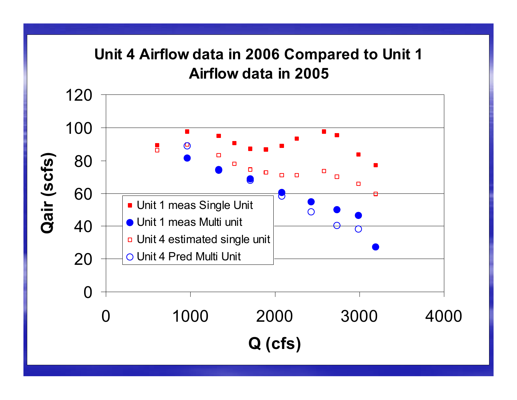## **Unit 4 Airflow data in 2006 Compared to Unit 1 Airflow data in 2005**